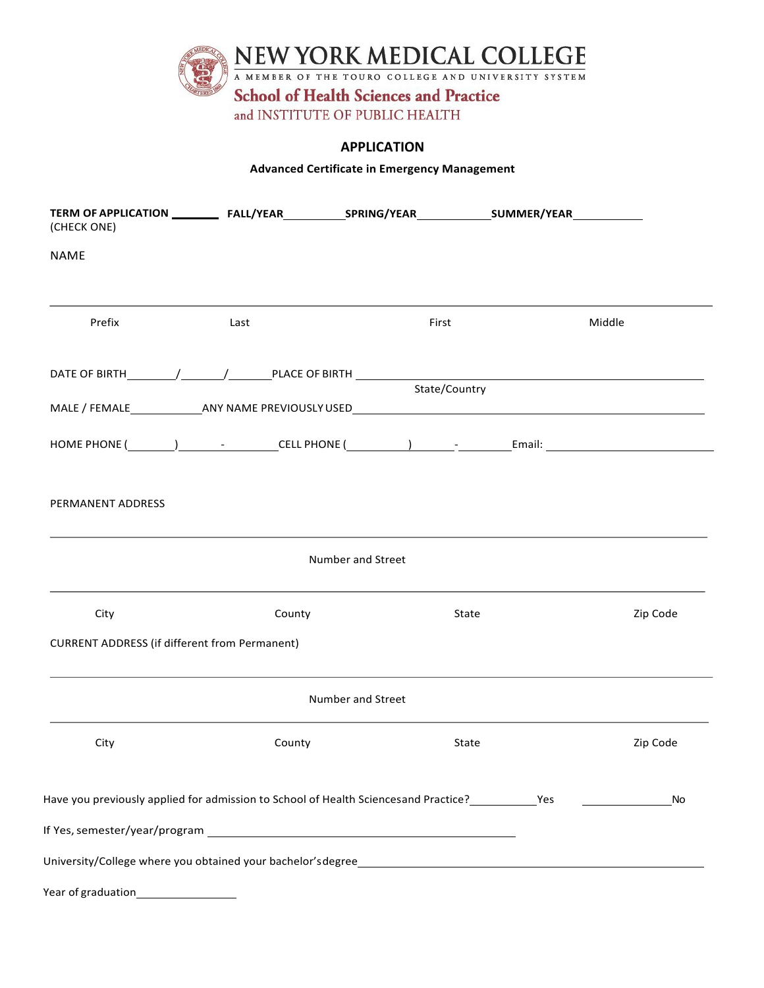

## **APPLICATION**

## **Advanced Certificate in Emergency Management**

| (CHECK ONE)                                          |                                                                                                                 |                          |          |
|------------------------------------------------------|-----------------------------------------------------------------------------------------------------------------|--------------------------|----------|
| NAME                                                 |                                                                                                                 |                          |          |
| Prefix                                               | Last                                                                                                            | First                    | Middle   |
|                                                      |                                                                                                                 | State/Country            |          |
|                                                      |                                                                                                                 |                          |          |
|                                                      |                                                                                                                 |                          |          |
| <b>PERMANENT ADDRESS</b>                             |                                                                                                                 |                          |          |
|                                                      |                                                                                                                 | Number and Street        |          |
| City                                                 | County                                                                                                          | State                    | Zip Code |
| <b>CURRENT ADDRESS (if different from Permanent)</b> |                                                                                                                 |                          |          |
|                                                      |                                                                                                                 | <b>Number and Street</b> |          |
| City                                                 | County                                                                                                          | State                    | Zip Code |
|                                                      | Have you previously applied for admission to School of Health Sciencesand Practice? ____________Yes __________  |                          | No       |
|                                                      | If Yes, semester/year/program example and the set of the set of the set of the set of the set of the set of the |                          |          |
|                                                      | University/College where you obtained your bachelor's degree____________________                                |                          |          |
| Year of graduation                                   |                                                                                                                 |                          |          |